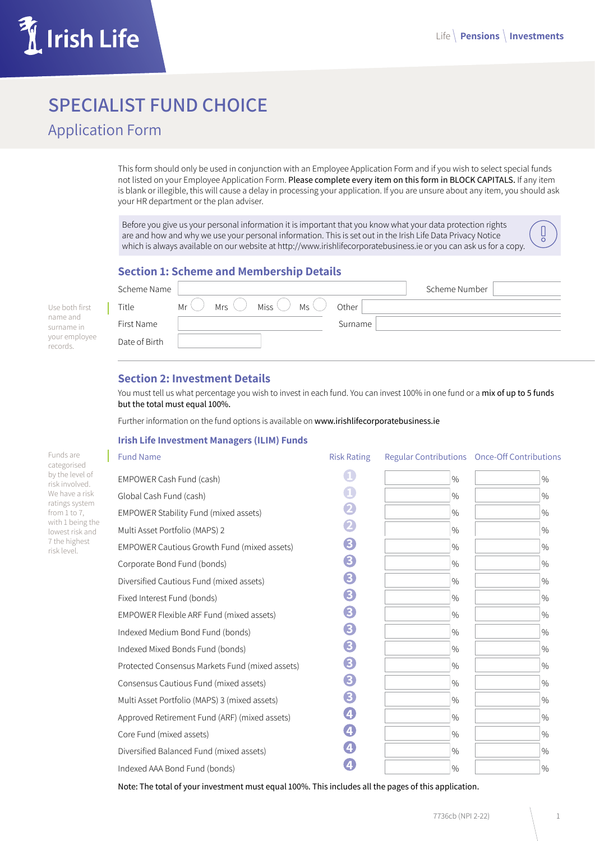

# **SPECIALIST FUND CHOICE**

Application Form

This form should only be used in conjunction with an Employee Application Form and if you wish to select special funds not listed on your Employee Application Form. Please complete every item on this form in BLOCK CAPITALS. If any item is blank or illegible, this will cause a delay in processing your application. If you are unsure about any item, you should ask your HR department or the plan adviser.

Before you give us your personal information it is important that you know what your data protection rights are and how and why we use your personal information. This is set out in the Irish Life Data Privacy Notice which is always available on our website at http://www.irishlifecorporatebusiness.ie or you can ask us for a copy.

## **Section 1: Scheme and Membership Details**

|                           | Scheme Name   |                                                                               |         | Scheme Number |
|---------------------------|---------------|-------------------------------------------------------------------------------|---------|---------------|
| Use both first            | Title         | Miss $\langle \rangle$<br>$MS \setminus$<br>Mr <sup>2</sup><br>Mrs $\sqrt{ }$ | Other   |               |
| name and<br>surname in    | First Name    |                                                                               | Surname |               |
| your employee<br>records. | Date of Birth |                                                                               |         |               |

# **Section 2: Investment Details**

You must tell us what percentage you wish to invest in each fund. You can invest 100% in one fund or a mix of up to 5 funds but the total must equal 100%.

Further information on the fund options is available on www.irishlifecorporatebusiness.ie

#### **Irish Life Investment Managers (ILIM) Funds**

| <b>Fund Name</b>                                   | <b>Risk Rating</b> |               | Regular Contributions Once-Off Contributions |
|----------------------------------------------------|--------------------|---------------|----------------------------------------------|
| EMPOWER Cash Fund (cash)                           | 1                  | $\frac{0}{0}$ | $\%$                                         |
| Global Cash Fund (cash)                            | $\mathbf 1$        | $\frac{0}{0}$ | $\%$                                         |
| EMPOWER Stability Fund (mixed assets)              | 2                  | $\frac{0}{0}$ | $\%$                                         |
| Multi Asset Portfolio (MAPS) 2                     | 2                  | $\frac{0}{0}$ | $\%$                                         |
| <b>EMPOWER Cautious Growth Fund (mixed assets)</b> | 8                  | $\%$          | $\%$                                         |
| Corporate Bond Fund (bonds)                        | 8                  | $\%$          | $\%$                                         |
| Diversified Cautious Fund (mixed assets)           | 8                  | $\%$          | $\%$                                         |
| Fixed Interest Fund (bonds)                        | 8                  | $\%$          | $\%$                                         |
| EMPOWER Flexible ARF Fund (mixed assets)           | 8                  | $\%$          | $\%$                                         |
| Indexed Medium Bond Fund (bonds)                   | 8                  | $\%$          | $\%$                                         |
| Indexed Mixed Bonds Fund (bonds)                   | 8                  | $\frac{0}{0}$ | $\%$                                         |
| Protected Consensus Markets Fund (mixed assets)    | 8                  | $\frac{0}{0}$ | $\%$                                         |
| Consensus Cautious Fund (mixed assets)             | 8                  | $\frac{0}{0}$ | $\%$                                         |
| Multi Asset Portfolio (MAPS) 3 (mixed assets)      | 8                  | $\frac{0}{0}$ | $\%$                                         |
| Approved Retirement Fund (ARF) (mixed assets)      | 4                  | $\frac{0}{0}$ | $\%$                                         |
| Core Fund (mixed assets)                           | 4                  | $\frac{0}{0}$ | $\%$                                         |
| Diversified Balanced Fund (mixed assets)           | 4                  | $\frac{0}{0}$ | $\%$                                         |
| Indexed AAA Bond Fund (bonds)                      | 4                  | $\%$          | $\%$                                         |

Note: The total of your investment must equal 100%. This includes all the pages of this application.

Funds are categorised by the level of risk involved. We have a risk ratings system from  $1$  to  $7$ , with 1 being the lowest risk and 7 the highest risk level.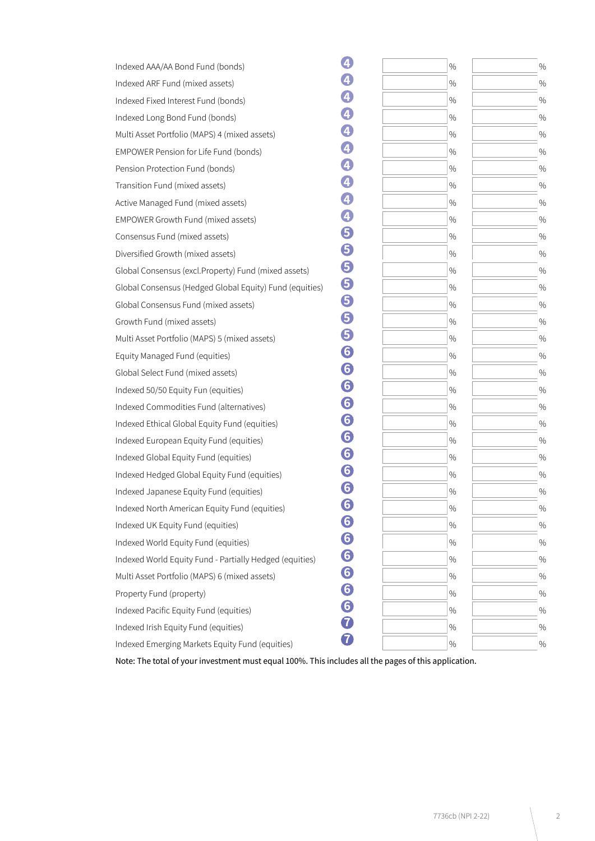| $\%$ | $\%$ |
|------|------|
| $\%$ | $\%$ |
| $\%$ | $\%$ |
| $\%$ | $\%$ |
| $\%$ | $\%$ |
| $\%$ | $\%$ |
| $\%$ | $\%$ |
| $\%$ | $\%$ |
| $\%$ | $\%$ |
| $\%$ | $\%$ |
| $\%$ | $\%$ |
| $\%$ | $\%$ |
| $\%$ | $\%$ |
| $\%$ | $\%$ |
| $\%$ | $\%$ |
| $\%$ | $\%$ |
| $\%$ | $\%$ |
| $\%$ | $\%$ |
| $\%$ | $\%$ |
| $\%$ | $\%$ |
| $\%$ | $\%$ |
| $\%$ | $\%$ |
| $\%$ | $\%$ |
| $\%$ | $\%$ |
| $\%$ | $\%$ |
| $\%$ | $\%$ |
| %    | $\%$ |
| $\%$ | $\%$ |
| $\%$ | $\%$ |
| $\%$ | $\%$ |
| $\%$ | $\%$ |
| $\%$ | $\%$ |
| $\%$ | $\%$ |
| $\%$ | $\%$ |
| $\%$ | $\%$ |
|      |      |

Note: The total of your investment must equal 100%. This includes all the pages of this application.